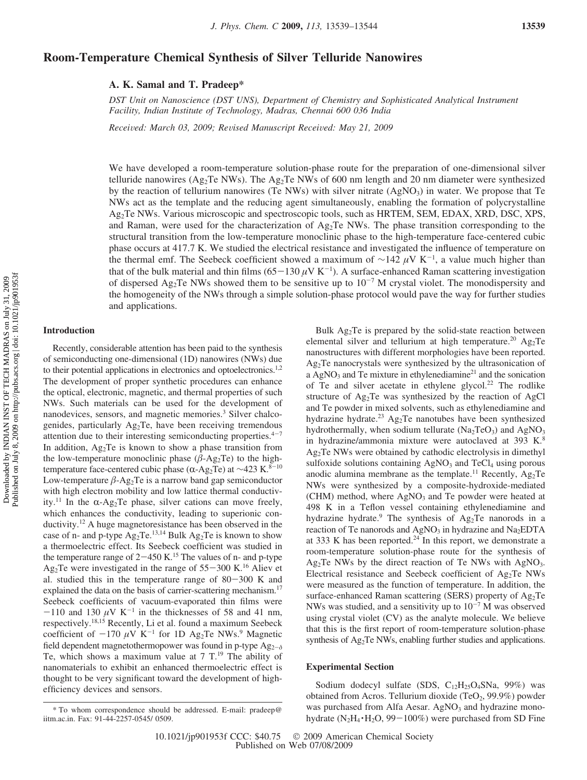# **Room-Temperature Chemical Synthesis of Silver Telluride Nanowires**

**A. K. Samal and T. Pradeep\***

*DST Unit on Nanoscience (DST UNS), Department of Chemistry and Sophisticated Analytical Instrument Facility, Indian Institute of Technology, Madras, Chennai 600 036 India*

*Recei*V*ed: March 03, 2009; Re*V*ised Manuscript Recei*V*ed: May 21, 2009*

We have developed a room-temperature solution-phase route for the preparation of one-dimensional silver telluride nanowires (Ag<sub>2</sub>Te NWs). The Ag<sub>2</sub>Te NWs of 600 nm length and 20 nm diameter were synthesized by the reaction of tellurium nanowires (Te NWs) with silver nitrate  $(AgNO<sub>3</sub>)$  in water. We propose that Te NWs act as the template and the reducing agent simultaneously, enabling the formation of polycrystalline Ag2Te NWs. Various microscopic and spectroscopic tools, such as HRTEM, SEM, EDAX, XRD, DSC, XPS, and Raman, were used for the characterization of  $Ag<sub>2</sub>Te$  NWs. The phase transition corresponding to the structural transition from the low-temperature monoclinic phase to the high-temperature face-centered cubic phase occurs at 417.7 K. We studied the electrical resistance and investigated the influence of temperature on the thermal emf. The Seebeck coefficient showed a maximum of ~142  $\mu$ V K<sup>-1</sup>, a value much higher than that of the bulk material and thin films  $(65-130 \,\mu\text{V K}^{-1})$ . A surface-enhanced Raman scattering investigation<br>of dispersed Ag-Te NWs showed them to be sensitive up to  $10^{-7}$  M crystal violet. The monodispersity and of dispersed Ag<sub>2</sub>Te NWs showed them to be sensitive up to  $10^{-7}$  M crystal violet. The monodispersity and the homogeneity of the NWs through a simple solution-phase protocol would pave the way for further studies and applications.

# **Introduction**

Recently, considerable attention has been paid to the synthesis of semiconducting one-dimensional (1D) nanowires (NWs) due to their potential applications in electronics and optoelectronics.1,2 The development of proper synthetic procedures can enhance the optical, electronic, magnetic, and thermal properties of such NWs. Such materials can be used for the development of nanodevices, sensors, and magnetic memories.<sup>3</sup> Silver chalcogenides, particularly Ag2Te, have been receiving tremendous attention due to their interesting semiconducting properties. $4<sup>-7</sup>$ In addition, Ag2Te is known to show a phase transition from the low-temperature monoclinic phase  $(\beta$ -Ag<sub>2</sub>Te) to the hightemperature face-centered cubic phase ( $\alpha$ -Ag<sub>2</sub>Te) at ~423 K.<sup>8-10</sup> Low-temperature  $\beta$ -Ag<sub>2</sub>Te is a narrow band gap semiconductor with high electron mobility and low lattice thermal conductivity.<sup>11</sup> In the  $\alpha$ -Ag<sub>2</sub>Te phase, silver cations can move freely, which enhances the conductivity, leading to superionic conductivity.<sup>12</sup> A huge magnetoresistance has been observed in the case of n- and p-type  $\text{Ag}_2$ Te.<sup>13,14</sup> Bulk Ag<sub>2</sub>Te is known to show a thermoelectric effect. Its Seebeck coefficient was studied in the temperature range of  $2-450$  K.<sup>15</sup> The values of n- and p-type Ag<sub>2</sub>Te were investigated in the range of  $55-300$  K.<sup>16</sup> Aliev et al. studied this in the temperature range of 80-300 K and explained the data on the basis of carrier-scattering mechanism.<sup>17</sup> Seebeck coefficients of vacuum-evaporated thin films were  $-110$  and 130  $\mu$ V K<sup>-1</sup> in the thicknesses of 58 and 41 nm, respectively.18,15 Recently, Li et al. found a maximum Seebeck coefficient of  $-170 \mu V K^{-1}$  for 1D Ag<sub>2</sub>Te NWs.<sup>9</sup> Magnetic field dependent magnetothermopower was found in p-type Ag<sub>2-*δ*</sub> Te, which shows a maximum value at  $7 T<sup>19</sup>$ . The ability of nanomaterials to exhibit an enhanced thermoelectric effect is thought to be very significant toward the development of highefficiency devices and sensors.

Bulk Ag2Te is prepared by the solid-state reaction between elemental silver and tellurium at high temperature.<sup>20</sup> Ag<sub>2</sub>Te nanostructures with different morphologies have been reported.  $Ag<sub>2</sub>Te$  nanocrystals were synthesized by the ultrasonication of a AgNO<sub>3</sub> and Te mixture in ethylenediamine<sup>21</sup> and the sonication of Te and silver acetate in ethylene glycol.<sup>22</sup> The rodlike structure of Ag<sub>2</sub>Te was synthesized by the reaction of AgCl and Te powder in mixed solvents, such as ethylenediamine and hydrazine hydrate.<sup>23</sup> Ag<sub>2</sub>Te nanotubes have been synthesized hydrothermally, when sodium tellurate  $(Na<sub>2</sub>TeO<sub>3</sub>)$  and  $AgNO<sub>3</sub>$ in hydrazine/ammonia mixture were autoclaved at 393 K.<sup>8</sup> Ag<sub>2</sub>Te NWs were obtained by cathodic electrolysis in dimethyl sulfoxide solutions containing  $AgNO<sub>3</sub>$  and  $TeCl<sub>4</sub>$  using porous anodic alumina membrane as the template.<sup>11</sup> Recently,  $Ag<sub>2</sub>Te$ NWs were synthesized by a composite-hydroxide-mediated  $(CHM)$  method, where  $AgNO<sub>3</sub>$  and Te powder were heated at 498 K in a Teflon vessel containing ethylenediamine and hydrazine hydrate.<sup>9</sup> The synthesis of Ag<sub>2</sub>Te nanorods in a reaction of Te nanorods and AgNO<sub>3</sub> in hydrazine and Na<sub>2</sub>EDTA at 333 K has been reported. $24$  In this report, we demonstrate a room-temperature solution-phase route for the synthesis of Ag<sub>2</sub>Te NWs by the direct reaction of Te NWs with AgNO<sub>3</sub>. Electrical resistance and Seebeck coefficient of Ag2Te NWs were measured as the function of temperature. In addition, the surface-enhanced Raman scattering (SERS) property of Ag<sub>2</sub>Te NWs was studied, and a sensitivity up to  $10^{-7}$  M was observed using crystal violet (CV) as the analyte molecule. We believe that this is the first report of room-temperature solution-phase synthesis of Ag<sub>2</sub>Te NWs, enabling further studies and applications.

### **Experimental Section**

Sodium dodecyl sulfate (SDS,  $C_{12}H_{25}O_4$ SNa, 99%) was obtained from Acros. Tellurium dioxide (TeO<sub>2</sub>, 99.9%) powder was purchased from Alfa Aesar.  $AgNO<sub>3</sub>$  and hydrazine monohydrate  $(N_2H_4 \cdot H_2O, 99-100\%)$  were purchased from SD Fine

<sup>\*</sup> To whom correspondence should be addressed. E-mail: pradeep@ iitm.ac.in. Fax: 91-44-2257-0545/ 0509.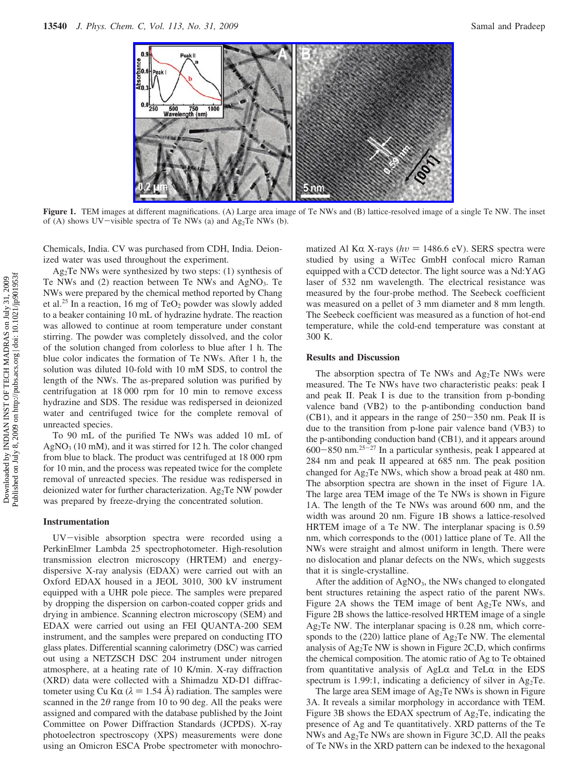

**Figure 1.** TEM images at different magnifications. (A) Large area image of Te NWs and (B) lattice-resolved image of a single Te NW. The inset of (A) shows UV-visible spectra of Te NWs (a) and  $Ag<sub>2</sub>Te$  NWs (b).

Chemicals, India. CV was purchased from CDH, India. Deionized water was used throughout the experiment.

Ag2Te NWs were synthesized by two steps: (1) synthesis of Te NWs and  $(2)$  reaction between Te NWs and AgNO<sub>3</sub>. Te NWs were prepared by the chemical method reported by Chang et al.<sup>25</sup> In a reaction, 16 mg of TeO<sub>2</sub> powder was slowly added to a beaker containing 10 mL of hydrazine hydrate. The reaction was allowed to continue at room temperature under constant stirring. The powder was completely dissolved, and the color of the solution changed from colorless to blue after 1 h. The blue color indicates the formation of Te NWs. After 1 h, the solution was diluted 10-fold with 10 mM SDS, to control the length of the NWs. The as-prepared solution was purified by centrifugation at 18 000 rpm for 10 min to remove excess hydrazine and SDS. The residue was redispersed in deionized water and centrifuged twice for the complete removal of unreacted species.

To 90 mL of the purified Te NWs was added 10 mL of  $AgNO<sub>3</sub>$  (10 mM), and it was stirred for 12 h. The color changed from blue to black. The product was centrifuged at 18 000 rpm for 10 min, and the process was repeated twice for the complete removal of unreacted species. The residue was redispersed in deionized water for further characterization. Ag<sub>2</sub>Te NW powder was prepared by freeze-drying the concentrated solution.

## **Instrumentation**

UV-visible absorption spectra were recorded using a PerkinElmer Lambda 25 spectrophotometer. High-resolution transmission electron microscopy (HRTEM) and energydispersive X-ray analysis (EDAX) were carried out with an Oxford EDAX housed in a JEOL 3010, 300 kV instrument equipped with a UHR pole piece. The samples were prepared by dropping the dispersion on carbon-coated copper grids and drying in ambience. Scanning electron microscopy (SEM) and EDAX were carried out using an FEI QUANTA-200 SEM instrument, and the samples were prepared on conducting ITO glass plates. Differential scanning calorimetry (DSC) was carried out using a NETZSCH DSC 204 instrument under nitrogen atmosphere, at a heating rate of 10 K/min. X-ray diffraction (XRD) data were collected with a Shimadzu XD-D1 diffractometer using Cu K $\alpha$  ( $\lambda$  = 1.54 Å) radiation. The samples were scanned in the  $2\theta$  range from 10 to 90 deg. All the peaks were assigned and compared with the database published by the Joint Committee on Power Diffraction Standards (JCPDS). X-ray photoelectron spectroscopy (XPS) measurements were done using an Omicron ESCA Probe spectrometer with monochromatized Al Kα X-rays ( $hv = 1486.6$  eV). SERS spectra were studied by using a WiTec GmbH confocal micro Raman equipped with a CCD detector. The light source was a Nd:YAG laser of 532 nm wavelength. The electrical resistance was measured by the four-probe method. The Seebeck coefficient was measured on a pellet of 3 mm diameter and 8 mm length. The Seebeck coefficient was measured as a function of hot-end temperature, while the cold-end temperature was constant at 300 K.

# **Results and Discussion**

The absorption spectra of Te NWs and  $Ag_2Te$  NWs were measured. The Te NWs have two characteristic peaks: peak I and peak II. Peak I is due to the transition from p-bonding valence band (VB2) to the p-antibonding conduction band  $(CB1)$ , and it appears in the range of  $250-350$  nm. Peak II is due to the transition from p-lone pair valence band (VB3) to the p-antibonding conduction band (CB1), and it appears around  $600-850$  nm.<sup>25-27</sup> In a particular synthesis, peak I appeared at 284 nm and peak II appeared at 685 nm. The peak position changed for Ag<sub>2</sub>Te NWs, which show a broad peak at 480 nm. The absorption spectra are shown in the inset of Figure 1A. The large area TEM image of the Te NWs is shown in Figure 1A. The length of the Te NWs was around 600 nm, and the width was around 20 nm. Figure 1B shows a lattice-resolved HRTEM image of a Te NW. The interplanar spacing is 0.59 nm, which corresponds to the (001) lattice plane of Te. All the NWs were straight and almost uniform in length. There were no dislocation and planar defects on the NWs, which suggests that it is single-crystalline.

After the addition of  $AgNO<sub>3</sub>$ , the NWs changed to elongated bent structures retaining the aspect ratio of the parent NWs. Figure 2A shows the TEM image of bent  $Ag<sub>2</sub>Te$  NWs, and Figure 2B shows the lattice-resolved HRTEM image of a single Ag2Te NW. The interplanar spacing is 0.28 nm, which corresponds to the  $(220)$  lattice plane of Ag<sub>2</sub>Te NW. The elemental analysis of  $Ag_2Te$  NW is shown in Figure 2C,D, which confirms the chemical composition. The atomic ratio of Ag to Te obtained from quantitative analysis of AgL $\alpha$  and TeL $\alpha$  in the EDS spectrum is 1.99:1, indicating a deficiency of silver in  $Ag<sub>2</sub>Te$ .

The large area SEM image of Ag<sub>2</sub>Te NWs is shown in Figure 3A. It reveals a similar morphology in accordance with TEM. Figure 3B shows the EDAX spectrum of Ag<sub>2</sub>Te, indicating the presence of Ag and Te quantitatively. XRD patterns of the Te NWs and  $Ag<sub>2</sub>Te$  NWs are shown in Figure 3C,D. All the peaks of Te NWs in the XRD pattern can be indexed to the hexagonal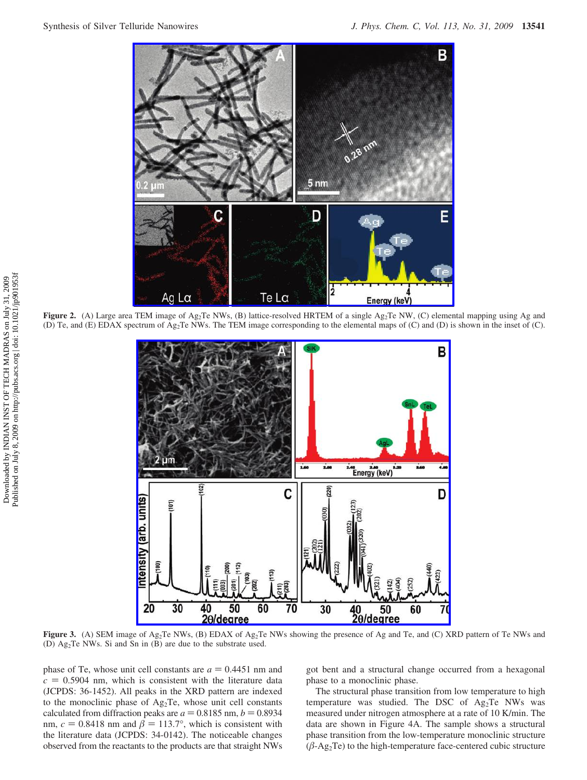

**Figure 2.** (A) Large area TEM image of Ag<sub>2</sub>Te NWs, (B) lattice-resolved HRTEM of a single Ag<sub>2</sub>Te NW, (C) elemental mapping using Ag and (D) Te, and (E) EDAX spectrum of Ag2Te NWs. The TEM image corresponding to the elemental maps of (C) and (D) is shown in the inset of (C).



Figure 3. (A) SEM image of Ag<sub>2</sub>Te NWs, (B) EDAX of Ag<sub>2</sub>Te NWs showing the presence of Ag and Te, and (C) XRD pattern of Te NWs and (D) Ag2Te NWs. Si and Sn in (B) are due to the substrate used.

phase of Te, whose unit cell constants are  $a = 0.4451$  nm and  $c = 0.5904$  nm, which is consistent with the literature data (JCPDS: 36-1452). All peaks in the XRD pattern are indexed to the monoclinic phase of  $Ag_2Te$ , whose unit cell constants calculated from diffraction peaks are  $a = 0.8185$  nm,  $b = 0.8934$ nm,  $c = 0.8418$  nm and  $\beta = 113.7^{\circ}$ , which is consistent with the literature data (JCPDS: 34-0142). The noticeable changes observed from the reactants to the products are that straight NWs got bent and a structural change occurred from a hexagonal phase to a monoclinic phase.

The structural phase transition from low temperature to high temperature was studied. The DSC of Ag<sub>2</sub>Te NWs was measured under nitrogen atmosphere at a rate of 10 K/min. The data are shown in Figure 4A. The sample shows a structural phase transition from the low-temperature monoclinic structure  $(\beta$ -Ag<sub>2</sub>Te) to the high-temperature face-centered cubic structure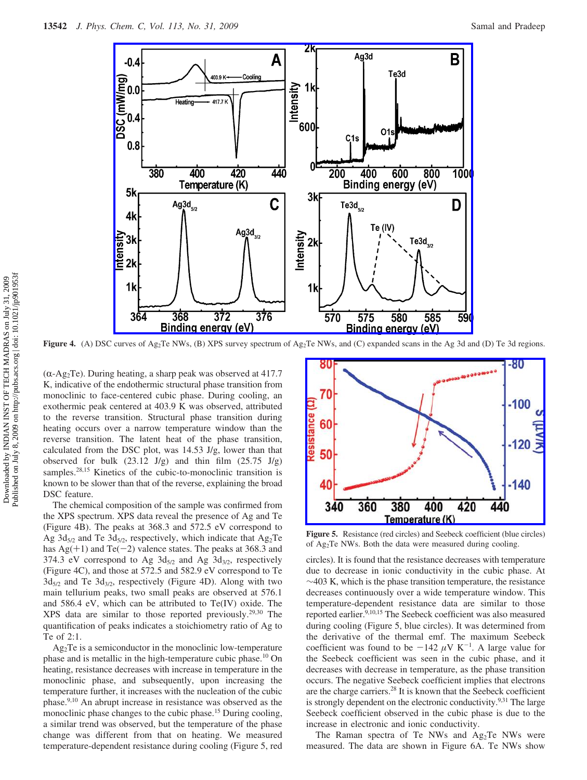

**Figure 4.** (A) DSC curves of Ag<sub>2</sub>Te NWs, (B) XPS survey spectrum of Ag<sub>2</sub>Te NWs, and (C) expanded scans in the Ag 3d and (D) Te 3d regions.

 $(\alpha$ -Ag<sub>2</sub>Te). During heating, a sharp peak was observed at 417.7 K, indicative of the endothermic structural phase transition from monoclinic to face-centered cubic phase. During cooling, an exothermic peak centered at 403.9 K was observed, attributed to the reverse transition. Structural phase transition during heating occurs over a narrow temperature window than the reverse transition. The latent heat of the phase transition, calculated from the DSC plot, was 14.53 J/g, lower than that observed for bulk  $(23.12 \text{ J/g})$  and thin film  $(25.75 \text{ J/g})$ samples.<sup>28,15</sup> Kinetics of the cubic-to-monoclinic transition is known to be slower than that of the reverse, explaining the broad DSC feature.

The chemical composition of the sample was confirmed from the XPS spectrum. XPS data reveal the presence of Ag and Te (Figure 4B). The peaks at 368.3 and 572.5 eV correspond to Ag  $3d_{5/2}$  and Te  $3d_{5/2}$ , respectively, which indicate that Ag<sub>2</sub>Te has Ag( $+1$ ) and Te( $-2$ ) valence states. The peaks at 368.3 and 374.3 eV correspond to Ag  $3d_{5/2}$  and Ag  $3d_{3/2}$ , respectively (Figure 4C), and those at 572.5 and 582.9 eV correspond to Te  $3d_{5/2}$  and Te  $3d_{3/2}$ , respectively (Figure 4D). Along with two main tellurium peaks, two small peaks are observed at 576.1 and 586.4 eV, which can be attributed to Te(IV) oxide. The XPS data are similar to those reported previously.29,30 The quantification of peaks indicates a stoichiometry ratio of Ag to Te of 2:1.

Ag2Te is a semiconductor in the monoclinic low-temperature phase and is metallic in the high-temperature cubic phase.10 On heating, resistance decreases with increase in temperature in the monoclinic phase, and subsequently, upon increasing the temperature further, it increases with the nucleation of the cubic phase.9,10 An abrupt increase in resistance was observed as the monoclinic phase changes to the cubic phase.15 During cooling, a similar trend was observed, but the temperature of the phase change was different from that on heating. We measured temperature-dependent resistance during cooling (Figure 5, red



**Figure 5.** Resistance (red circles) and Seebeck coefficient (blue circles) of Ag2Te NWs. Both the data were measured during cooling.

circles). It is found that the resistance decreases with temperature due to decrease in ionic conductivity in the cubic phase. At  $\sim$ 403 K, which is the phase transition temperature, the resistance decreases continuously over a wide temperature window. This temperature-dependent resistance data are similar to those reported earlier.<sup>9,10,15</sup> The Seebeck coefficient was also measured during cooling (Figure 5, blue circles). It was determined from the derivative of the thermal emf. The maximum Seebeck coefficient was found to be  $-142 \mu V K^{-1}$ . A large value for<br>the Seebeck coefficient was seen in the cubic phase, and it the Seebeck coefficient was seen in the cubic phase, and it decreases with decrease in temperature, as the phase transition occurs. The negative Seebeck coefficient implies that electrons are the charge carriers.28 It is known that the Seebeck coefficient is strongly dependent on the electronic conductivity.<sup>9,31</sup> The large Seebeck coefficient observed in the cubic phase is due to the increase in electronic and ionic conductivity.

The Raman spectra of Te NWs and  $Ag_2Te$  NWs were measured. The data are shown in Figure 6A. Te NWs show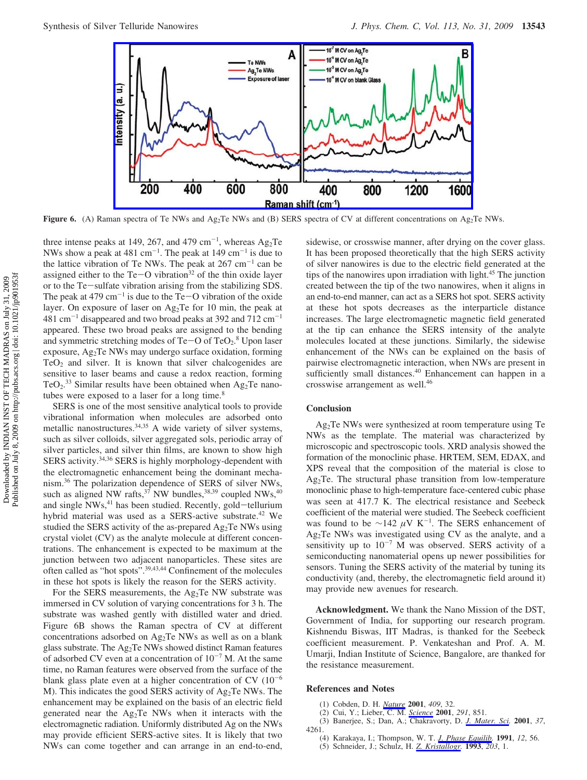

Figure 6. (A) Raman spectra of Te NWs and Ag<sub>2</sub>Te NWs and (B) SERS spectra of CV at different concentrations on Ag<sub>2</sub>Te NWs.

three intense peaks at 149, 267, and 479 cm<sup>-1</sup>, whereas  $Ag_2Te$ NWs show a peak at  $481 \text{ cm}^{-1}$ . The peak at  $149 \text{ cm}^{-1}$  is due to the lattice vibration of Te NWs. The peak at  $267 \text{ cm}^{-1}$  can be assigned either to the Te-O vibration<sup>32</sup> of the thin oxide layer or to the Te-sulfate vibration arising from the stabilizing SDS. The peak at 479 cm<sup>-1</sup> is due to the Te-O vibration of the oxide layer. On exposure of laser on Ag<sub>2</sub>Te for 10 min, the peak at  $481 \text{ cm}^{-1}$  disappeared and two broad peaks at 392 and 712 cm<sup>-1</sup> appeared. These two broad peaks are assigned to the bending and symmetric stretching modes of  $Te-O$  of  $TeO<sub>2</sub>$ <sup>8</sup> Upon laser<br>exposure  $A \circ Te$  NWs may undergo surface oxidation, forming exposure, Ag2Te NWs may undergo surface oxidation, forming  $TeO<sub>2</sub>$  and silver. It is known that silver chalcogenides are sensitive to laser beams and cause a redox reaction, forming  $TeO<sub>2</sub>$ .<sup>33</sup> Similar results have been obtained when Ag<sub>2</sub>Te nanotubes were exposed to a laser for a long time.<sup>8</sup>

SERS is one of the most sensitive analytical tools to provide vibrational information when molecules are adsorbed onto metallic nanostructures.<sup>34,35</sup> A wide variety of silver systems, such as silver colloids, silver aggregated sols, periodic array of silver particles, and silver thin films, are known to show high SERS activity.<sup>34,36</sup> SERS is highly morphology-dependent with the electromagnetic enhancement being the dominant mechanism.36 The polarization dependence of SERS of silver NWs, such as aligned NW rafts,  $37$  NW bundles,  $38,39$  coupled NWs,  $40$ and single  $NWs$ ,<sup>41</sup> has been studied. Recently, gold-tellurium hybrid material was used as a SERS-active substrate.<sup>42</sup> We studied the SERS activity of the as-prepared  $Ag<sub>2</sub>Te$  NWs using crystal violet (CV) as the analyte molecule at different concentrations. The enhancement is expected to be maximum at the junction between two adjacent nanoparticles. These sites are often called as "hot spots".39,43,44 Confinement of the molecules in these hot spots is likely the reason for the SERS activity.

For the SERS measurements, the Ag<sub>2</sub>Te NW substrate was immersed in CV solution of varying concentrations for 3 h. The substrate was washed gently with distilled water and dried. Figure 6B shows the Raman spectra of CV at different concentrations adsorbed on Ag2Te NWs as well as on a blank glass substrate. The Ag2Te NWs showed distinct Raman features of adsorbed CV even at a concentration of  $10^{-7}$  M. At the same time, no Raman features were observed from the surface of the blank glass plate even at a higher concentration of  $CV(10^{-6})$ M). This indicates the good SERS activity of  $Ag<sub>2</sub>Te$  NWs. The enhancement may be explained on the basis of an electric field generated near the Ag2Te NWs when it interacts with the electromagnetic radiation. Uniformly distributed Ag on the NWs may provide efficient SERS-active sites. It is likely that two NWs can come together and can arrange in an end-to-end,

sidewise, or crosswise manner, after drying on the cover glass. It has been proposed theoretically that the high SERS activity of silver nanowires is due to the electric field generated at the tips of the nanowires upon irradiation with light.<sup>45</sup> The junction created between the tip of the two nanowires, when it aligns in an end-to-end manner, can act as a SERS hot spot. SERS activity at these hot spots decreases as the interparticle distance increases. The large electromagnetic magnetic field generated at the tip can enhance the SERS intensity of the analyte molecules located at these junctions. Similarly, the sidewise enhancement of the NWs can be explained on the basis of pairwise electromagnetic interaction, when NWs are present in sufficiently small distances.<sup>40</sup> Enhancement can happen in a crosswise arrangement as well.46

#### **Conclusion**

Ag2Te NWs were synthesized at room temperature using Te NWs as the template. The material was characterized by microscopic and spectroscopic tools. XRD analysis showed the formation of the monoclinic phase. HRTEM, SEM, EDAX, and XPS reveal that the composition of the material is close to Ag2Te. The structural phase transition from low-temperature monoclinic phase to high-temperature face-centered cubic phase was seen at 417.7 K. The electrical resistance and Seebeck coefficient of the material were studied. The Seebeck coefficient was found to be ∼142  $\mu$ V K<sup>-1</sup>. The SERS enhancement of Ag2Te NWs was investigated using CV as the analyte, and a sensitivity up to  $10^{-7}$  M was observed. SERS activity of a semiconducting nanomaterial opens up newer possibilities for sensors. Tuning the SERS activity of the material by tuning its conductivity (and, thereby, the electromagnetic field around it) may provide new avenues for research.

**Acknowledgment.** We thank the Nano Mission of the DST, Government of India, for supporting our research program. Kishnendu Biswas, IIT Madras, is thanked for the Seebeck coefficient measurement. P. Venkateshan and Prof. A. M. Umarji, Indian Institute of Science, Bangalore, are thanked for the resistance measurement.

#### **References and Notes**

- (1) Cobden, D. H. *Nature* **2001**, *409*, 32.
- (2) Cui, Y.; Lieber, C. M. *Science* **2001**, *291*, 851.
- (3) Banerjee, S.; Dan, A.; Chakravorty, D. *J. Mater. Sci.* **2001**, *37*, 4261.
	- (4) Karakaya, I.; Thompson, W. T. *J. Phase Equilib.* **1991**, *12*, 56.
	- (5) Schneider, J.; Schulz, H. *Z. Kristallogr.* **1993**, *203*, 1.